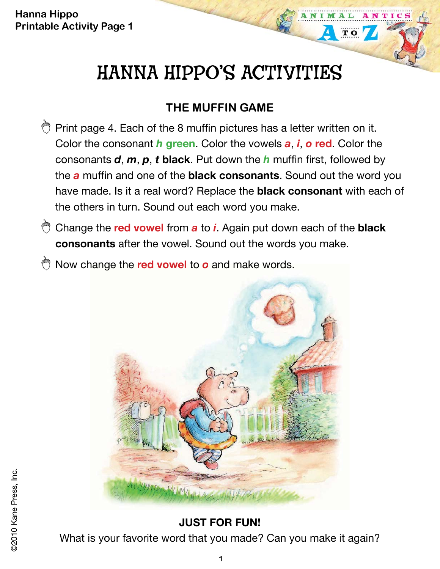**Hanna Hippo Printable Activity Page 1**

# HANNA HIPPO'S ACTIVITIES

 $\overline{\mathbf{T}}$  O

## **THE MUFFIN GAME**

- $\bigcirc$  Print page 4. Each of the 8 muffin pictures has a letter written on it. Color the consonant *h* **green**. Color the vowels *a*, *i*, *o* **red**. Color the consonants *d*, *m*, *p*, *t* **black**. Put down the *h* muffin first, followed by the *a* muffin and one of the **black consonants**. Sound out the word you have made. Is it a real word? Replace the **black consonant** with each of the others in turn. Sound out each word you make.
- Change the **red vowel** from *a* to *i*. Again put down each of the **black consonants** after the vowel. Sound out the words you make.
- Now change the **red vowel** to *o* and make words.



**JUST FOR FUN!**

What is your favorite word that you made? Can you make it again?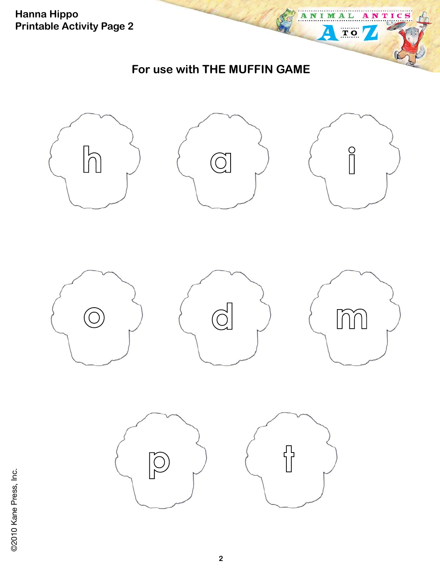

@2010 Kane Press, Inc. ©2010 Kane Press, Inc.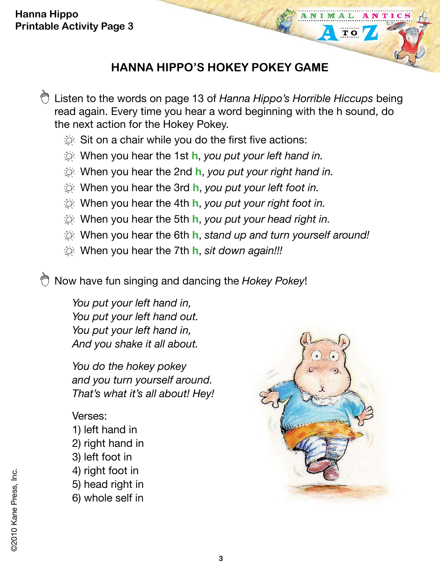**Hanna Hippo Printable Activity Page 3**

# **HANNA HIPPO'S HOKEY POKEY GAME**

- Listen to the words on page 13 of *Hanna Hippo's Horrible Hiccups* being read again. Every time you hear a word beginning with the h sound, do the next action for the Hokey Pokey.
	- Sit on a chair while you do the first five actions:
	- $\Diamond$  When you hear the 1st **h**, *you put your left hand in.*
	- $\Diamond$  When you hear the 2nd **h**, *you put your right hand in.*
	- $\Diamond$  When you hear the 3rd **h**, *you put your left foot in.*
	- $\Diamond$  When you hear the 4th **h**, *you put your right foot in.*
	- $\Diamond$  When you hear the 5th **h**, *you put your head right in.*
	- $\Diamond$  When you hear the 6th **h**, *stand up and turn yourself around!*
	- $\Diamond$  When you hear the 7th **h**, *sit down again!!!*

Now have fun singing and dancing the *Hokey Pokey*!

*You put your left hand in, You put your left hand out. You put your left hand in, And you shake it all about.*

*You do the hokey pokey and you turn yourself around. That's what it's all about! Hey!*

#### Verses:

- 1) left hand in 2) right hand in
- 3) left foot in
- 4) right foot in
- 5) head right in
- 6) whole self in



 $\overline{\mathbf{T}}$  O